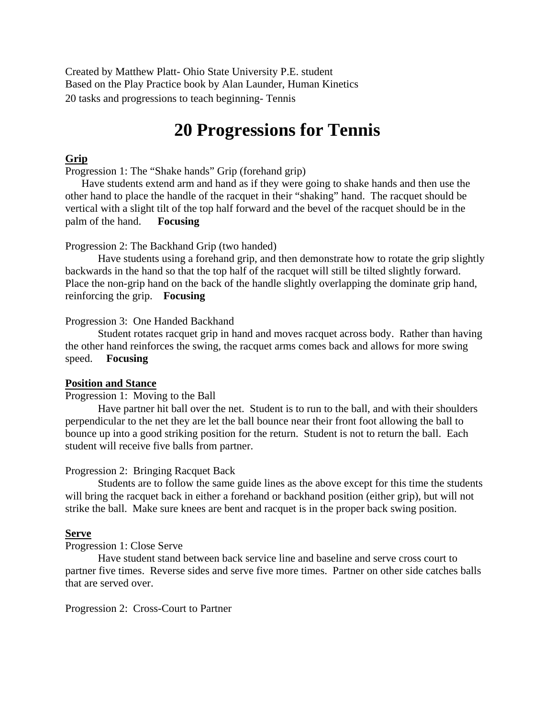Created by Matthew Platt- Ohio State University P.E. student Based on the Play Practice book by Alan Launder, Human Kinetics 20 tasks and progressions to teach beginning- Tennis

# **20 Progressions for Tennis**

# **Grip**

Progression 1: The "Shake hands" Grip (forehand grip)

 Have students extend arm and hand as if they were going to shake hands and then use the other hand to place the handle of the racquet in their "shaking" hand. The racquet should be vertical with a slight tilt of the top half forward and the bevel of the racquet should be in the palm of the hand. **Focusing**

# Progression 2: The Backhand Grip (two handed)

 Have students using a forehand grip, and then demonstrate how to rotate the grip slightly backwards in the hand so that the top half of the racquet will still be tilted slightly forward. Place the non-grip hand on the back of the handle slightly overlapping the dominate grip hand, reinforcing the grip. **Focusing** 

# Progression 3: One Handed Backhand

 Student rotates racquet grip in hand and moves racquet across body. Rather than having the other hand reinforces the swing, the racquet arms comes back and allows for more swing speed. **Focusing** 

#### **Position and Stance**

Progression 1: Moving to the Ball

 Have partner hit ball over the net. Student is to run to the ball, and with their shoulders perpendicular to the net they are let the ball bounce near their front foot allowing the ball to bounce up into a good striking position for the return. Student is not to return the ball. Each student will receive five balls from partner.

#### Progression 2: Bringing Racquet Back

 Students are to follow the same guide lines as the above except for this time the students will bring the racquet back in either a forehand or backhand position (either grip), but will not strike the ball. Make sure knees are bent and racquet is in the proper back swing position.

#### **Serve**

Progression 1: Close Serve

Have student stand between back service line and baseline and serve cross court to partner five times. Reverse sides and serve five more times. Partner on other side catches balls that are served over.

Progression 2: Cross-Court to Partner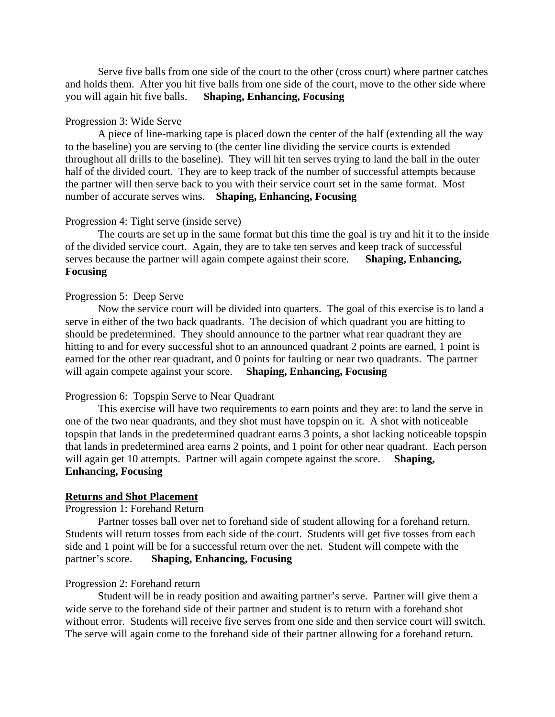Serve five balls from one side of the court to the other (cross court) where partner catches and holds them. After you hit five balls from one side of the court, move to the other side where you will again hit five balls. **Shaping, Enhancing, Focusing**

# Progression 3: Wide Serve

 A piece of line-marking tape is placed down the center of the half (extending all the way to the baseline) you are serving to (the center line dividing the service courts is extended throughout all drills to the baseline). They will hit ten serves trying to land the ball in the outer half of the divided court. They are to keep track of the number of successful attempts because the partner will then serve back to you with their service court set in the same format. Most number of accurate serves wins. **Shaping, Enhancing, Focusing** 

## Progression 4: Tight serve (inside serve)

 The courts are set up in the same format but this time the goal is try and hit it to the inside of the divided service court. Again, they are to take ten serves and keep track of successful serves because the partner will again compete against their score. **Shaping, Enhancing, Focusing** 

# Progression 5: Deep Serve

 Now the service court will be divided into quarters. The goal of this exercise is to land a serve in either of the two back quadrants. The decision of which quadrant you are hitting to should be predetermined. They should announce to the partner what rear quadrant they are hitting to and for every successful shot to an announced quadrant 2 points are earned, 1 point is earned for the other rear quadrant, and 0 points for faulting or near two quadrants. The partner will again compete against your score. **Shaping, Enhancing, Focusing** 

## Progression 6: Topspin Serve to Near Quadrant

 This exercise will have two requirements to earn points and they are: to land the serve in one of the two near quadrants, and they shot must have topspin on it. A shot with noticeable topspin that lands in the predetermined quadrant earns 3 points, a shot lacking noticeable topspin that lands in predetermined area earns 2 points, and 1 point for other near quadrant. Each person will again get 10 attempts. Partner will again compete against the score. **Shaping, Enhancing, Focusing**

#### **Returns and Shot Placement**

# Progression 1: Forehand Return

 Partner tosses ball over net to forehand side of student allowing for a forehand return. Students will return tosses from each side of the court. Students will get five tosses from each side and 1 point will be for a successful return over the net. Student will compete with the partner's score. **Shaping, Enhancing, Focusing** 

## Progression 2: Forehand return

 Student will be in ready position and awaiting partner's serve. Partner will give them a wide serve to the forehand side of their partner and student is to return with a forehand shot without error. Students will receive five serves from one side and then service court will switch. The serve will again come to the forehand side of their partner allowing for a forehand return.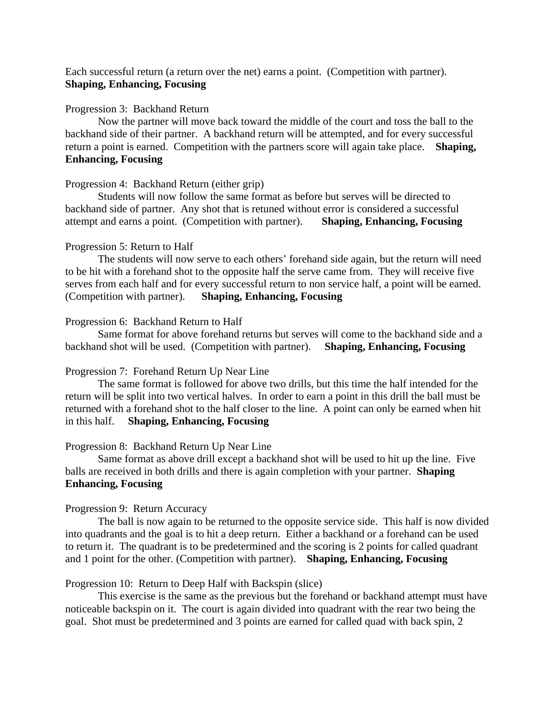Each successful return (a return over the net) earns a point. (Competition with partner). **Shaping, Enhancing, Focusing** 

# Progression 3: Backhand Return

 Now the partner will move back toward the middle of the court and toss the ball to the backhand side of their partner. A backhand return will be attempted, and for every successful return a point is earned. Competition with the partners score will again take place. **Shaping, Enhancing, Focusing** 

# Progression 4: Backhand Return (either grip)

 Students will now follow the same format as before but serves will be directed to backhand side of partner. Any shot that is retuned without error is considered a successful attempt and earns a point. (Competition with partner). **Shaping, Enhancing, Focusing** 

# Progression 5: Return to Half

 The students will now serve to each others' forehand side again, but the return will need to be hit with a forehand shot to the opposite half the serve came from. They will receive five serves from each half and for every successful return to non service half, a point will be earned. (Competition with partner). **Shaping, Enhancing, Focusing** 

# Progression 6: Backhand Return to Half

 Same format for above forehand returns but serves will come to the backhand side and a backhand shot will be used. (Competition with partner). **Shaping, Enhancing, Focusing** 

# Progression 7: Forehand Return Up Near Line

 The same format is followed for above two drills, but this time the half intended for the return will be split into two vertical halves. In order to earn a point in this drill the ball must be returned with a forehand shot to the half closer to the line. A point can only be earned when hit in this half. **Shaping, Enhancing, Focusing** 

# Progression 8: Backhand Return Up Near Line

 Same format as above drill except a backhand shot will be used to hit up the line. Five balls are received in both drills and there is again completion with your partner. **Shaping Enhancing, Focusing** 

# Progression 9: Return Accuracy

 The ball is now again to be returned to the opposite service side. This half is now divided into quadrants and the goal is to hit a deep return. Either a backhand or a forehand can be used to return it. The quadrant is to be predetermined and the scoring is 2 points for called quadrant and 1 point for the other. (Competition with partner). **Shaping, Enhancing, Focusing** 

# Progression 10: Return to Deep Half with Backspin (slice)

 This exercise is the same as the previous but the forehand or backhand attempt must have noticeable backspin on it. The court is again divided into quadrant with the rear two being the goal. Shot must be predetermined and 3 points are earned for called quad with back spin, 2